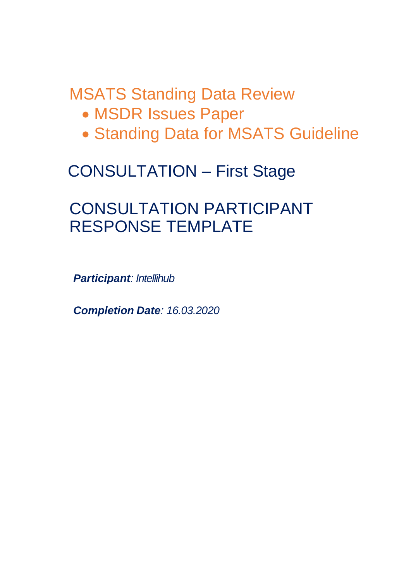MSATS Standing Data Review

- MSDR Issues Paper
- Standing Data for MSATS Guideline

# CONSULTATION – First Stage

# CONSULTATION PARTICIPANT RESPONSE TEMPLATE

*Participant: Intellihub*

*Completion Date: 16.03.2020*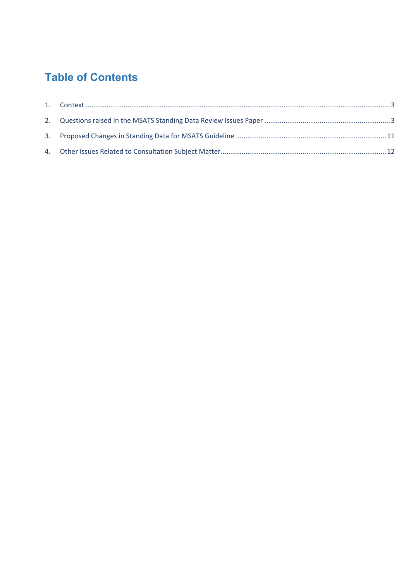# **Table of Contents**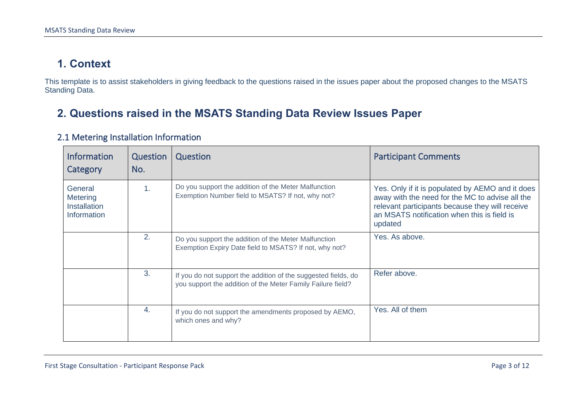## **1. Context**

This template is to assist stakeholders in giving feedback to the questions raised in the issues paper about the proposed changes to the MSATS Standing Data.

## **2. Questions raised in the MSATS Standing Data Review Issues Paper**

<span id="page-2-1"></span><span id="page-2-0"></span>

| <b>Information</b><br>Category                            | Question<br>No. | Question                                                                                                                      | <b>Participant Comments</b>                                                                                                                                                                                      |
|-----------------------------------------------------------|-----------------|-------------------------------------------------------------------------------------------------------------------------------|------------------------------------------------------------------------------------------------------------------------------------------------------------------------------------------------------------------|
| General<br>Metering<br><b>Installation</b><br>Information | 1.              | Do you support the addition of the Meter Malfunction<br>Exemption Number field to MSATS? If not, why not?                     | Yes. Only if it is populated by AEMO and it does<br>away with the need for the MC to advise all the<br>relevant participants because they will receive<br>an MSATS notification when this is field is<br>updated |
|                                                           | 2.              | Do you support the addition of the Meter Malfunction<br>Exemption Expiry Date field to MSATS? If not, why not?                | Yes. As above.                                                                                                                                                                                                   |
|                                                           | 3.              | If you do not support the addition of the suggested fields, do<br>you support the addition of the Meter Family Failure field? | Refer above.                                                                                                                                                                                                     |
|                                                           | 4.              | If you do not support the amendments proposed by AEMO,<br>which ones and why?                                                 | Yes. All of them                                                                                                                                                                                                 |

#### 2.1 Metering Installation Information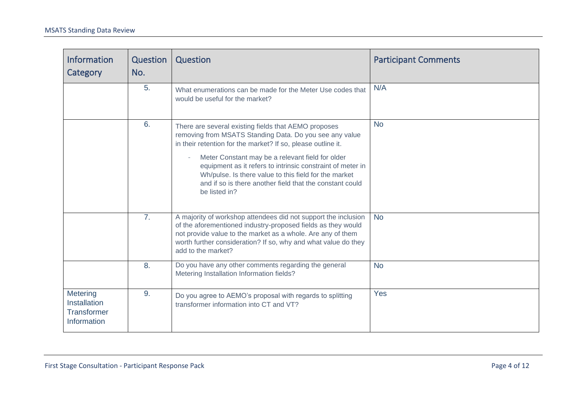| <b>Information</b><br>Category                                | Question<br>No. | Question                                                                                                                                                                                                                                                                                                                                                                                                                                | <b>Participant Comments</b> |
|---------------------------------------------------------------|-----------------|-----------------------------------------------------------------------------------------------------------------------------------------------------------------------------------------------------------------------------------------------------------------------------------------------------------------------------------------------------------------------------------------------------------------------------------------|-----------------------------|
|                                                               | 5.              | What enumerations can be made for the Meter Use codes that<br>would be useful for the market?                                                                                                                                                                                                                                                                                                                                           | N/A                         |
|                                                               | 6.              | There are several existing fields that AEMO proposes<br>removing from MSATS Standing Data. Do you see any value<br>in their retention for the market? If so, please outline it.<br>Meter Constant may be a relevant field for older<br>equipment as it refers to intrinsic constraint of meter in<br>Wh/pulse. Is there value to this field for the market<br>and if so is there another field that the constant could<br>be listed in? | <b>No</b>                   |
|                                                               | 7 <sub>1</sub>  | A majority of workshop attendees did not support the inclusion<br>of the aforementioned industry-proposed fields as they would<br>not provide value to the market as a whole. Are any of them<br>worth further consideration? If so, why and what value do they<br>add to the market?                                                                                                                                                   | <b>No</b>                   |
|                                                               | 8.              | Do you have any other comments regarding the general<br>Metering Installation Information fields?                                                                                                                                                                                                                                                                                                                                       | <b>No</b>                   |
| Metering<br>Installation<br><b>Transformer</b><br>Information | 9.              | Do you agree to AEMO's proposal with regards to splitting<br>transformer information into CT and VT?                                                                                                                                                                                                                                                                                                                                    | Yes                         |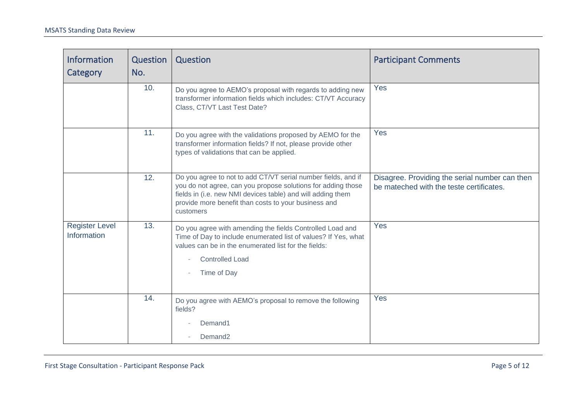| Information<br>Category              | Question<br>No. | Question                                                                                                                                                                                                                                                          | <b>Participant Comments</b>                                                                |
|--------------------------------------|-----------------|-------------------------------------------------------------------------------------------------------------------------------------------------------------------------------------------------------------------------------------------------------------------|--------------------------------------------------------------------------------------------|
|                                      | 10.             | Do you agree to AEMO's proposal with regards to adding new<br>transformer information fields which includes: CT/VT Accuracy<br>Class, CT/VT Last Test Date?                                                                                                       | Yes                                                                                        |
|                                      | 11.             | Do you agree with the validations proposed by AEMO for the<br>transformer information fields? If not, please provide other<br>types of validations that can be applied.                                                                                           | <b>Yes</b>                                                                                 |
|                                      | 12.             | Do you agree to not to add CT/VT serial number fields, and if<br>you do not agree, can you propose solutions for adding those<br>fields in (i.e. new NMI devices table) and will adding them<br>provide more benefit than costs to your business and<br>customers | Disagree. Providing the serial number can then<br>be mateched with the teste certificates. |
| <b>Register Level</b><br>Information | 13.             | Do you agree with amending the fields Controlled Load and<br>Time of Day to include enumerated list of values? If Yes, what<br>values can be in the enumerated list for the fields:<br><b>Controlled Load</b><br>Time of Day                                      | Yes                                                                                        |
|                                      | 14.             | Do you agree with AEMO's proposal to remove the following<br>fields?<br>Demand1                                                                                                                                                                                   | <b>Yes</b>                                                                                 |
|                                      |                 | Demand <sub>2</sub>                                                                                                                                                                                                                                               |                                                                                            |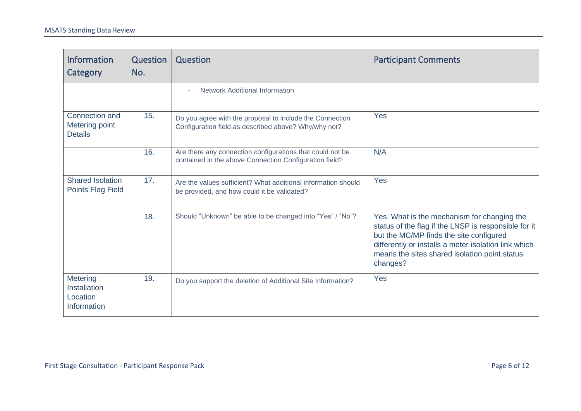| <b>Information</b><br><b>Category</b>                      | Question<br>No. | Question                                                                                                            | <b>Participant Comments</b>                                                                                                                                                                                                                                         |
|------------------------------------------------------------|-----------------|---------------------------------------------------------------------------------------------------------------------|---------------------------------------------------------------------------------------------------------------------------------------------------------------------------------------------------------------------------------------------------------------------|
|                                                            |                 | <b>Network Additional Information</b>                                                                               |                                                                                                                                                                                                                                                                     |
| Connection and<br>Metering point<br><b>Details</b>         | 15.             | Do you agree with the proposal to include the Connection<br>Configuration field as described above? Why/why not?    | Yes                                                                                                                                                                                                                                                                 |
|                                                            | 16.             | Are there any connection configurations that could not be<br>contained in the above Connection Configuration field? | N/A                                                                                                                                                                                                                                                                 |
| <b>Shared Isolation</b><br>Points Flag Field               | 17.             | Are the values sufficient? What additional information should<br>be provided, and how could it be validated?        | Yes                                                                                                                                                                                                                                                                 |
|                                                            | 18.             | Should "Unknown" be able to be changed into "Yes" / "No"?                                                           | Yes. What is the mechanism for changing the<br>status of the flag if the LNSP is responsible for it<br>but the MC/MP finds the site configured<br>differently or installs a meter isolation link which<br>means the sites shared isolation point status<br>changes? |
| <b>Metering</b><br>Installation<br>Location<br>Information | 19.             | Do you support the deletion of Additional Site Information?                                                         | Yes                                                                                                                                                                                                                                                                 |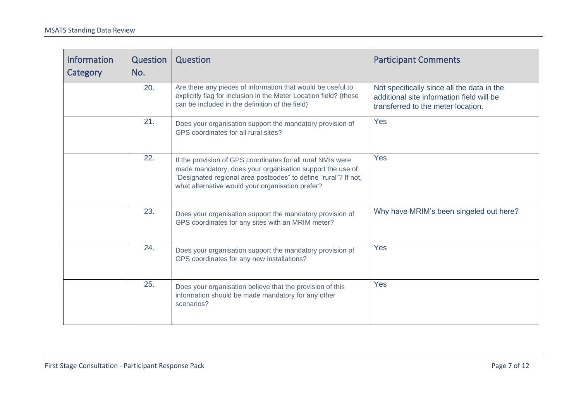| <b>Information</b><br>Category | Question<br>No. | Question                                                                                                                                                                                                                                        | <b>Participant Comments</b>                                                                                                   |
|--------------------------------|-----------------|-------------------------------------------------------------------------------------------------------------------------------------------------------------------------------------------------------------------------------------------------|-------------------------------------------------------------------------------------------------------------------------------|
|                                | 20.             | Are there any pieces of information that would be useful to<br>explicitly flag for inclusion in the Meter Location field? (these<br>can be included in the definition of the field)                                                             | Not specifically since all the data in the<br>additional site information field will be<br>transferred to the meter location. |
|                                | 21.             | Does your organisation support the mandatory provision of<br>GPS coordinates for all rural sites?                                                                                                                                               | Yes                                                                                                                           |
|                                | 22.             | If the provision of GPS coordinates for all rural NMIs were<br>made mandatory, does your organisation support the use of<br>"Designated regional area postcodes" to define "rural"? If not,<br>what alternative would your organisation prefer? | Yes                                                                                                                           |
|                                | 23.             | Does your organisation support the mandatory provision of<br>GPS coordinates for any sites with an MRIM meter?                                                                                                                                  | Why have MRIM's been singeled out here?                                                                                       |
|                                | 24.             | Does your organisation support the mandatory provision of<br>GPS coordinates for any new installations?                                                                                                                                         | Yes                                                                                                                           |
|                                | 25.             | Does your organisation believe that the provision of this<br>information should be made mandatory for any other<br>scenarios?                                                                                                                   | Yes                                                                                                                           |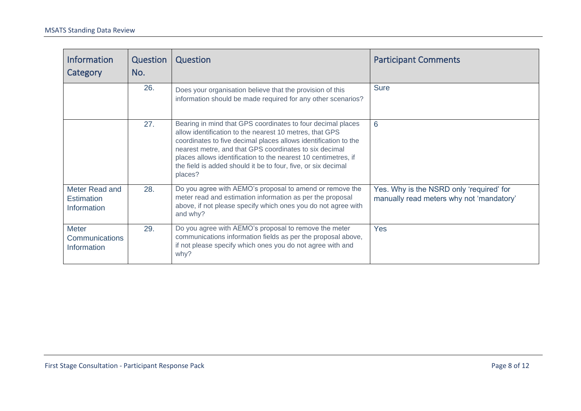| <b>Information</b><br>Category                       | Question<br>No. | Question                                                                                                                                                                                                                                                                                                                                                                                          | <b>Participant Comments</b>                                                          |
|------------------------------------------------------|-----------------|---------------------------------------------------------------------------------------------------------------------------------------------------------------------------------------------------------------------------------------------------------------------------------------------------------------------------------------------------------------------------------------------------|--------------------------------------------------------------------------------------|
|                                                      | 26.             | Does your organisation believe that the provision of this<br>information should be made required for any other scenarios?                                                                                                                                                                                                                                                                         | <b>Sure</b>                                                                          |
|                                                      | 27.             | Bearing in mind that GPS coordinates to four decimal places<br>allow identification to the nearest 10 metres, that GPS<br>coordinates to five decimal places allows identification to the<br>nearest metre, and that GPS coordinates to six decimal<br>places allows identification to the nearest 10 centimetres, if<br>the field is added should it be to four, five, or six decimal<br>places? | 6                                                                                    |
| Meter Read and<br><b>Estimation</b><br>Information   | 28.             | Do you agree with AEMO's proposal to amend or remove the<br>meter read and estimation information as per the proposal<br>above, if not please specify which ones you do not agree with<br>and why?                                                                                                                                                                                                | Yes. Why is the NSRD only 'required' for<br>manually read meters why not 'mandatory' |
| <b>Meter</b><br><b>Communications</b><br>Information | 29.             | Do you agree with AEMO's proposal to remove the meter<br>communications information fields as per the proposal above,<br>if not please specify which ones you do not agree with and<br>why?                                                                                                                                                                                                       | <b>Yes</b>                                                                           |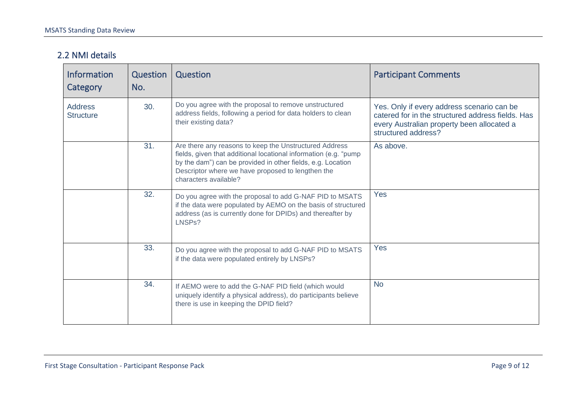#### 2.2 NMI details

| <b>Information</b><br>Category     | Question<br>No. | Question                                                                                                                                                                                                                                                                | <b>Participant Comments</b>                                                                                                                                          |
|------------------------------------|-----------------|-------------------------------------------------------------------------------------------------------------------------------------------------------------------------------------------------------------------------------------------------------------------------|----------------------------------------------------------------------------------------------------------------------------------------------------------------------|
| <b>Address</b><br><b>Structure</b> | 30.             | Do you agree with the proposal to remove unstructured<br>address fields, following a period for data holders to clean<br>their existing data?                                                                                                                           | Yes. Only if every address scenario can be<br>catered for in the structured address fields. Has<br>every Australian property been allocated a<br>structured address? |
|                                    | 31.             | Are there any reasons to keep the Unstructured Address<br>fields, given that additional locational information (e.g. "pump<br>by the dam") can be provided in other fields, e.g. Location<br>Descriptor where we have proposed to lengthen the<br>characters available? | As above.                                                                                                                                                            |
|                                    | 32.             | Do you agree with the proposal to add G-NAF PID to MSATS<br>if the data were populated by AEMO on the basis of structured<br>address (as is currently done for DPIDs) and thereafter by<br>LNSPs?                                                                       | <b>Yes</b>                                                                                                                                                           |
|                                    | 33.             | Do you agree with the proposal to add G-NAF PID to MSATS<br>if the data were populated entirely by LNSPs?                                                                                                                                                               | Yes                                                                                                                                                                  |
|                                    | 34.             | If AEMO were to add the G-NAF PID field (which would<br>uniquely identify a physical address), do participants believe<br>there is use in keeping the DPID field?                                                                                                       | <b>No</b>                                                                                                                                                            |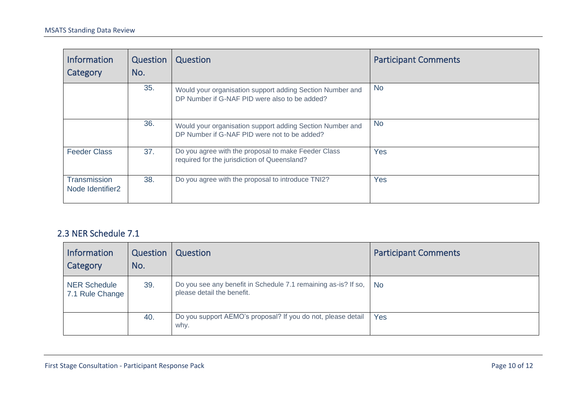| <b>Information</b><br>Category                      | Question<br>No. | Question                                                                                                   | <b>Participant Comments</b> |
|-----------------------------------------------------|-----------------|------------------------------------------------------------------------------------------------------------|-----------------------------|
|                                                     | 35.             | Would your organisation support adding Section Number and<br>DP Number if G-NAF PID were also to be added? | <b>No</b>                   |
|                                                     | 36.             | Would your organisation support adding Section Number and<br>DP Number if G-NAF PID were not to be added?  | <b>No</b>                   |
| <b>Feeder Class</b>                                 | 37.             | Do you agree with the proposal to make Feeder Class<br>required for the jurisdiction of Queensland?        | Yes                         |
| <b>Transmission</b><br>Node Identifier <sub>2</sub> | 38.             | Do you agree with the proposal to introduce TNI2?                                                          | Yes                         |

#### 2.3 NER Schedule 7.1

| <b>Information</b><br>Category         | Question<br>No. | Question                                                                                     | <b>Participant Comments</b> |
|----------------------------------------|-----------------|----------------------------------------------------------------------------------------------|-----------------------------|
| <b>NER Schedule</b><br>7.1 Rule Change | 39.             | Do you see any benefit in Schedule 7.1 remaining as-is? If so,<br>please detail the benefit. | <b>No</b>                   |
|                                        | 40.             | Do you support AEMO's proposal? If you do not, please detail<br>why.                         | Yes                         |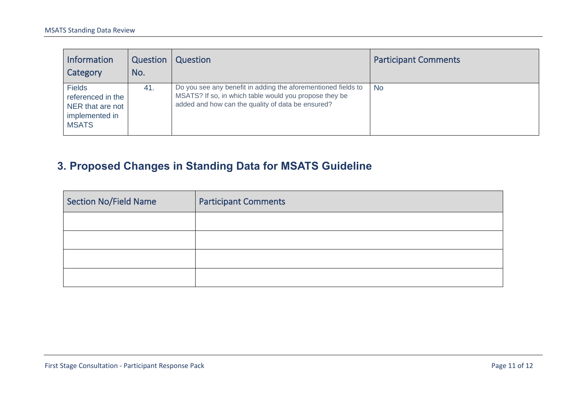| <b>Information</b><br>Category                                                           | Question<br>No. | Question                                                                                                                                                                     | <b>Participant Comments</b> |
|------------------------------------------------------------------------------------------|-----------------|------------------------------------------------------------------------------------------------------------------------------------------------------------------------------|-----------------------------|
| <b>Fields</b><br>referenced in the<br>NER that are not<br>implemented in<br><b>MSATS</b> | 41.             | Do you see any benefit in adding the aforementioned fields to<br>MSATS? If so, in which table would you propose they be<br>added and how can the quality of data be ensured? | <b>No</b>                   |

# **3. Proposed Changes in Standing Data for MSATS Guideline**

<span id="page-10-0"></span>

| Section No/Field Name | <b>Participant Comments</b> |
|-----------------------|-----------------------------|
|                       |                             |
|                       |                             |
|                       |                             |
|                       |                             |